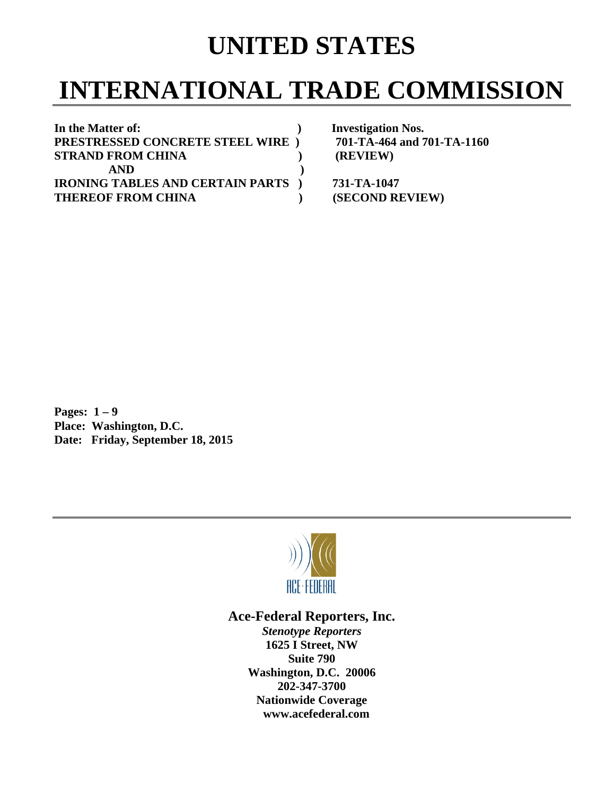## **UNITED STATES**

## **INTERNATIONAL TRADE COMMISSION**

| In the Matter of:                         | <b>Investigation Nos.</b>  |
|-------------------------------------------|----------------------------|
| PRESTRESSED CONCRETE STEEL WIRE )         | 701-TA-464 and 701-TA-1160 |
| <b>STRAND FROM CHINA</b>                  | (REVIEW)                   |
| <b>AND</b>                                |                            |
| <b>IRONING TABLES AND CERTAIN PARTS</b> ) | 731-TA-1047                |
| <b>THEREOF FROM CHINA</b>                 | (SECOND REVIEW)            |

**Pages: 1 – 9 Place: Washington, D.C. Date: Friday, September 18, 2015** 



## **Ace-Federal Reporters, Inc.**

*Stenotype Reporters*  **1625 I Street, NW Suite 790 Washington, D.C. 20006 202-347-3700 Nationwide Coverage www.acefederal.com**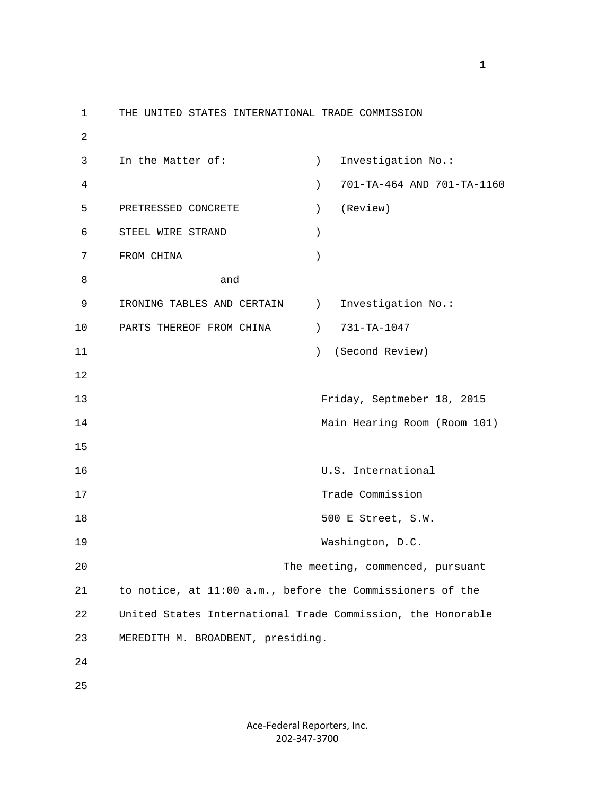1 THE UNITED STATES INTERNATIONAL TRADE COMMISSION 2 3 In the Matter of: (a) investigation No.: 4 ) 701-TA-464 AND 701-TA-1160 5 PRETRESSED CONCRETE ) (Review) 6 STEEL WIRE STRAND ) 7 FROM CHINA ) 8 and 9 IRONING TABLES AND CERTAIN ) Investigation No.: 10 PARTS THEREOF FROM CHINA (2011) 731-TA-1047 11 ) (Second Review) 12 13 Friday, Septmeber 18, 2015 14 Main Hearing Room (Room 101) 15 16 U.S. International 17 Trade Commission 18 500 E Street, S.W. 19 Washington, D.C. 20 The meeting, commenced, pursuant 21 to notice, at 11:00 a.m., before the Commissioners of the 22 United States International Trade Commission, the Honorable 23 MEREDITH M. BROADBENT, presiding. 24 25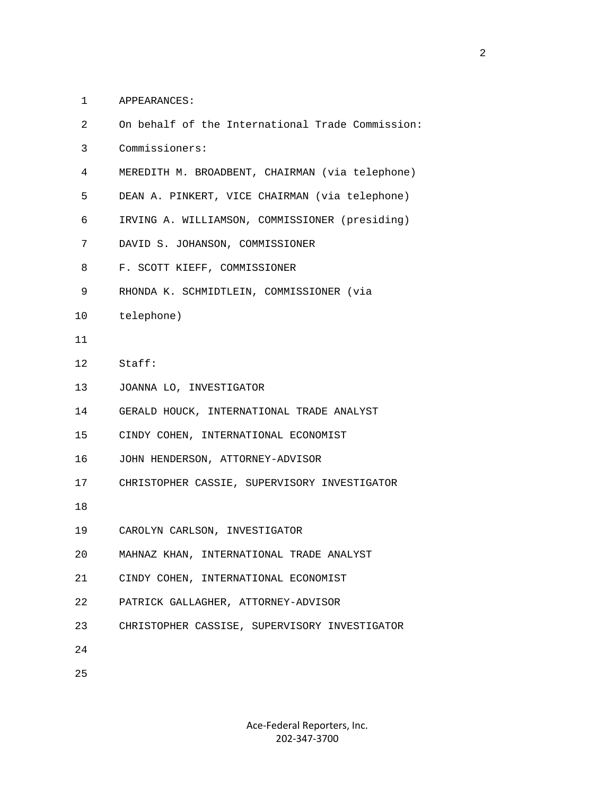1 APPEARANCES:

| 2               | On behalf of the International Trade Commission: |
|-----------------|--------------------------------------------------|
| 3               | Commissioners:                                   |
| 4               | MEREDITH M. BROADBENT, CHAIRMAN (via telephone)  |
| 5               | DEAN A. PINKERT, VICE CHAIRMAN (via telephone)   |
| 6               | IRVING A. WILLIAMSON, COMMISSIONER (presiding)   |
| 7               | DAVID S. JOHANSON, COMMISSIONER                  |
| 8               | F. SCOTT KIEFF, COMMISSIONER                     |
| 9               | RHONDA K. SCHMIDTLEIN, COMMISSIONER (via         |
| 10              | telephone)                                       |
| 11              |                                                  |
| 12 <sup>°</sup> | Staff:                                           |
| 13              | JOANNA LO, INVESTIGATOR                          |
| 14              | GERALD HOUCK, INTERNATIONAL TRADE ANALYST        |
| 15 <sub>1</sub> | CINDY COHEN, INTERNATIONAL ECONOMIST             |
| 16              | JOHN HENDERSON, ATTORNEY-ADVISOR                 |
| 17              | CHRISTOPHER CASSIE, SUPERVISORY INVESTIGATOR     |
| 18              |                                                  |
| 19              | CAROLYN CARLSON, INVESTIGATOR                    |
| 20              | MAHNAZ KHAN, INTERNATIONAL TRADE ANALYST         |
| 21              | CINDY COHEN, INTERNATIONAL ECONOMIST             |
| 22              | PATRICK GALLAGHER, ATTORNEY-ADVISOR              |
| 23              | CHRISTOPHER CASSISE, SUPERVISORY INVESTIGATOR    |
| 24              |                                                  |
| 25              |                                                  |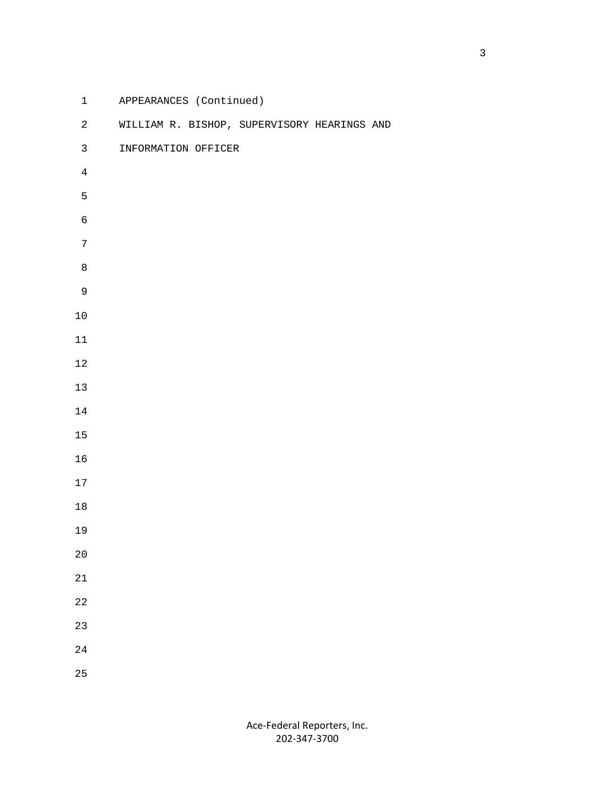| $\mathbf{1}$     | APPEARANCES (Continued) |                                             |  |
|------------------|-------------------------|---------------------------------------------|--|
| $\overline{a}$   |                         | WILLIAM R. BISHOP, SUPERVISORY HEARINGS AND |  |
| $\mathfrak{Z}$   | INFORMATION OFFICER     |                                             |  |
| $\overline{4}$   |                         |                                             |  |
| 5                |                         |                                             |  |
| $\epsilon$       |                         |                                             |  |
| $\boldsymbol{7}$ |                         |                                             |  |
| $\,8\,$          |                         |                                             |  |
| $\mathsf 9$      |                         |                                             |  |
| $10\,$           |                         |                                             |  |
| $11\,$           |                         |                                             |  |
| $1\,2$           |                         |                                             |  |
| $13$             |                         |                                             |  |
| $14\,$           |                         |                                             |  |
| $15\,$           |                         |                                             |  |
| 16               |                         |                                             |  |
| 17               |                         |                                             |  |
| $18\,$           |                         |                                             |  |
| 19               |                         |                                             |  |
| $2\,0$           |                         |                                             |  |
| $21\,$           |                         |                                             |  |
| $2\sqrt{2}$      |                         |                                             |  |
| 23               |                         |                                             |  |
| $2\sqrt{4}$      |                         |                                             |  |
| 25               |                         |                                             |  |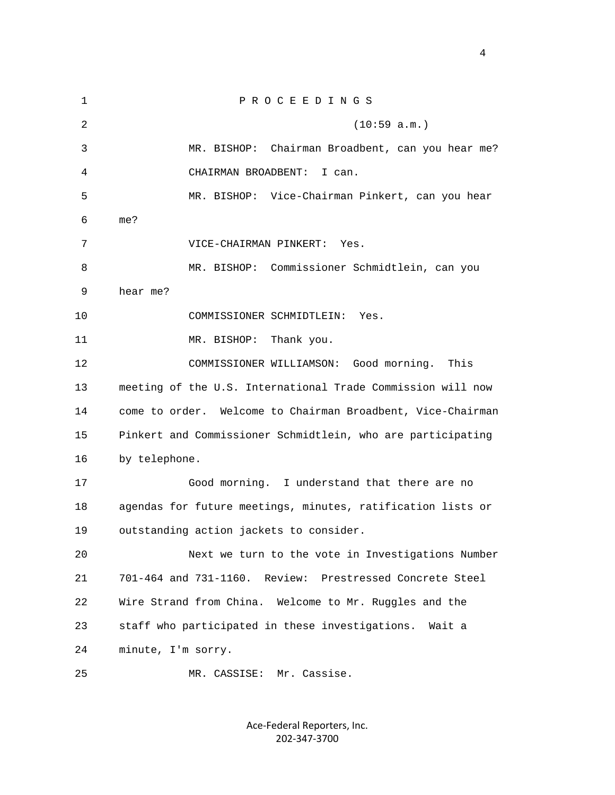| $\mathbf 1$ | PROCEEDINGS                                                 |
|-------------|-------------------------------------------------------------|
| 2           | (10:59 a.m.)                                                |
| 3           | MR. BISHOP: Chairman Broadbent, can you hear me?            |
| 4           | CHAIRMAN BROADBENT:<br>I can.                               |
| 5           | MR. BISHOP: Vice-Chairman Pinkert, can you hear             |
| 6           | me?                                                         |
| 7           | VICE-CHAIRMAN PINKERT:<br>Yes.                              |
| 8           | MR. BISHOP: Commissioner Schmidtlein, can you               |
| 9           | hear me?                                                    |
| 10          | COMMISSIONER SCHMIDTLEIN:<br>Yes.                           |
| 11          | MR. BISHOP:<br>Thank you.                                   |
| 12          | Good morning.<br>This<br>COMMISSIONER WILLIAMSON:           |
| 13          | meeting of the U.S. International Trade Commission will now |
| 14          | come to order. Welcome to Chairman Broadbent, Vice-Chairman |
| 15          | Pinkert and Commissioner Schmidtlein, who are participating |
| 16          | by telephone.                                               |
| 17          | Good morning. I understand that there are no                |
| 18          | agendas for future meetings, minutes, ratification lists or |
| 19          | outstanding action jackets to consider.                     |
| 20          | Next we turn to the vote in Investigations Number           |
| 21          | 701-464 and 731-1160. Review:<br>Prestressed Concrete Steel |
| 22          | Wire Strand from China. Welcome to Mr. Ruggles and the      |
| 23          | staff who participated in these investigations.<br>Wait a   |
| 24          | minute, I'm sorry.                                          |
| 25          | MR. CASSISE: Mr. Cassise.                                   |

Ace‐Federal Reporters, Inc. 202‐347‐3700

4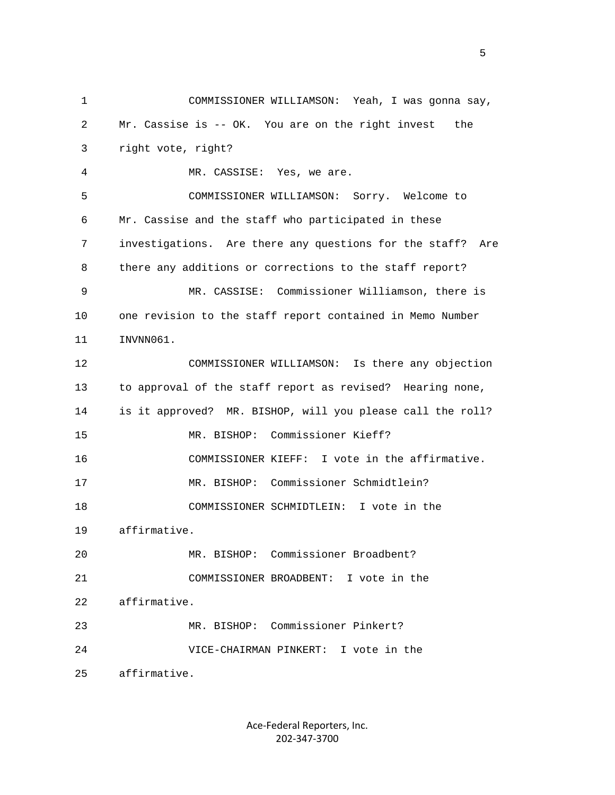1 COMMISSIONER WILLIAMSON: Yeah, I was gonna say, 2 Mr. Cassise is -- OK. You are on the right invest the 3 right vote, right? 4 MR. CASSISE: Yes, we are. 5 COMMISSIONER WILLIAMSON: Sorry. Welcome to 6 Mr. Cassise and the staff who participated in these 7 investigations. Are there any questions for the staff? Are 8 there any additions or corrections to the staff report? 9 MR. CASSISE: Commissioner Williamson, there is 10 one revision to the staff report contained in Memo Number 11 INVNN061. 12 COMMISSIONER WILLIAMSON: Is there any objection 13 to approval of the staff report as revised? Hearing none, 14 is it approved? MR. BISHOP, will you please call the roll? 15 MR. BISHOP: Commissioner Kieff? 16 COMMISSIONER KIEFF: I vote in the affirmative. 17 MR. BISHOP: Commissioner Schmidtlein? 18 COMMISSIONER SCHMIDTLEIN: I vote in the 19 affirmative. 20 MR. BISHOP: Commissioner Broadbent? 21 COMMISSIONER BROADBENT: I vote in the 22 affirmative. 23 MR. BISHOP: Commissioner Pinkert? 24 VICE-CHAIRMAN PINKERT: I vote in the 25 affirmative.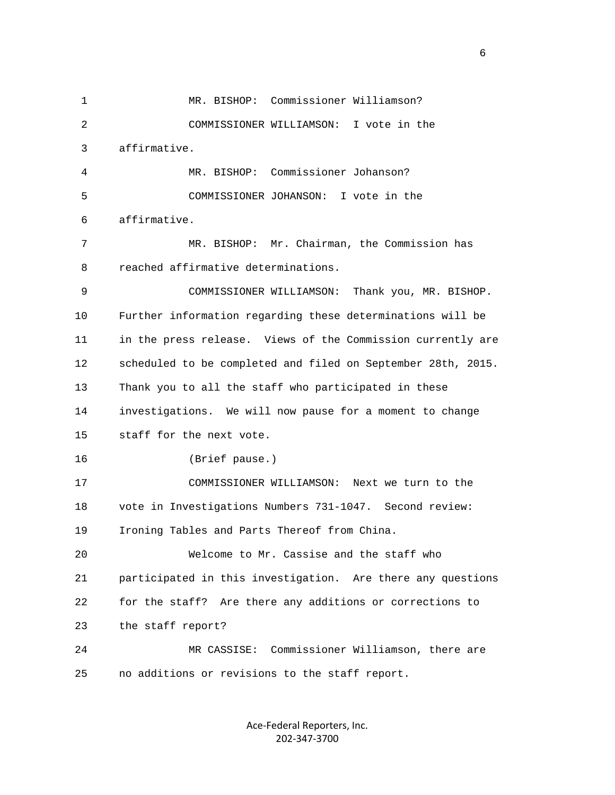1 MR. BISHOP: Commissioner Williamson? 2 COMMISSIONER WILLIAMSON: I vote in the 3 affirmative. 4 MR. BISHOP: Commissioner Johanson? 5 COMMISSIONER JOHANSON: I vote in the 6 affirmative. 7 MR. BISHOP: Mr. Chairman, the Commission has 8 reached affirmative determinations. 9 COMMISSIONER WILLIAMSON: Thank you, MR. BISHOP. 10 Further information regarding these determinations will be 11 in the press release. Views of the Commission currently are 12 scheduled to be completed and filed on September 28th, 2015. 13 Thank you to all the staff who participated in these 14 investigations. We will now pause for a moment to change 15 staff for the next vote. 16 (Brief pause.) 17 COMMISSIONER WILLIAMSON: Next we turn to the 18 vote in Investigations Numbers 731-1047. Second review: 19 Ironing Tables and Parts Thereof from China. 20 Welcome to Mr. Cassise and the staff who 21 participated in this investigation. Are there any questions 22 for the staff? Are there any additions or corrections to 23 the staff report? 24 MR CASSISE: Commissioner Williamson, there are 25 no additions or revisions to the staff report.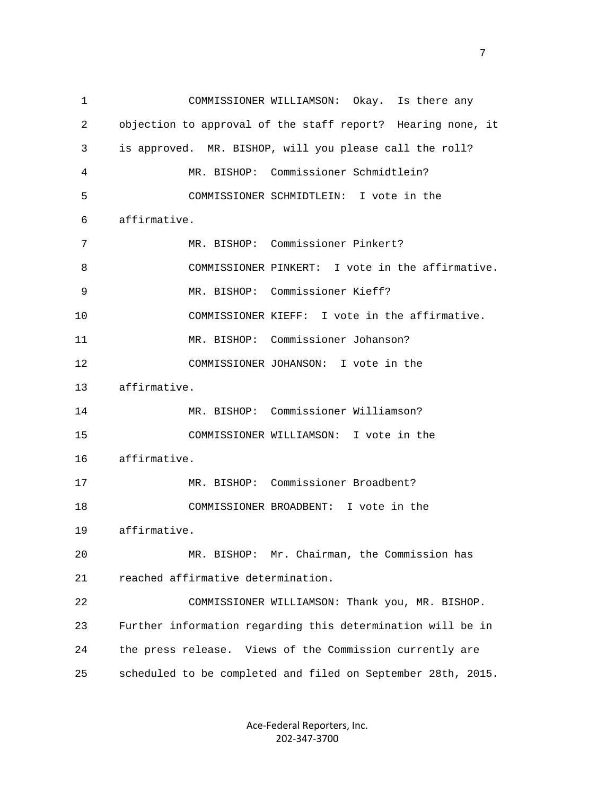1 COMMISSIONER WILLIAMSON: Okay. Is there any 2 objection to approval of the staff report? Hearing none, it 3 is approved. MR. BISHOP, will you please call the roll? 4 MR. BISHOP: Commissioner Schmidtlein? 5 COMMISSIONER SCHMIDTLEIN: I vote in the 6 affirmative. 7 MR. BISHOP: Commissioner Pinkert? 8 COMMISSIONER PINKERT: I vote in the affirmative. 9 MR. BISHOP: Commissioner Kieff? 10 COMMISSIONER KIEFF: I vote in the affirmative. 11 MR. BISHOP: Commissioner Johanson? 12 COMMISSIONER JOHANSON: I vote in the 13 affirmative. 14 MR. BISHOP: Commissioner Williamson? 15 COMMISSIONER WILLIAMSON: I vote in the 16 affirmative. 17 MR. BISHOP: Commissioner Broadbent? 18 COMMISSIONER BROADBENT: I vote in the 19 affirmative. 20 MR. BISHOP: Mr. Chairman, the Commission has 21 reached affirmative determination. 22 COMMISSIONER WILLIAMSON: Thank you, MR. BISHOP. 23 Further information regarding this determination will be in 24 the press release. Views of the Commission currently are 25 scheduled to be completed and filed on September 28th, 2015.

> Ace‐Federal Reporters, Inc. 202‐347‐3700

<u>2</u> The contract of the contract of the contract of the contract of the contract of the contract of the contract of the contract of the contract of the contract of the contract of the contract of the contract of the contra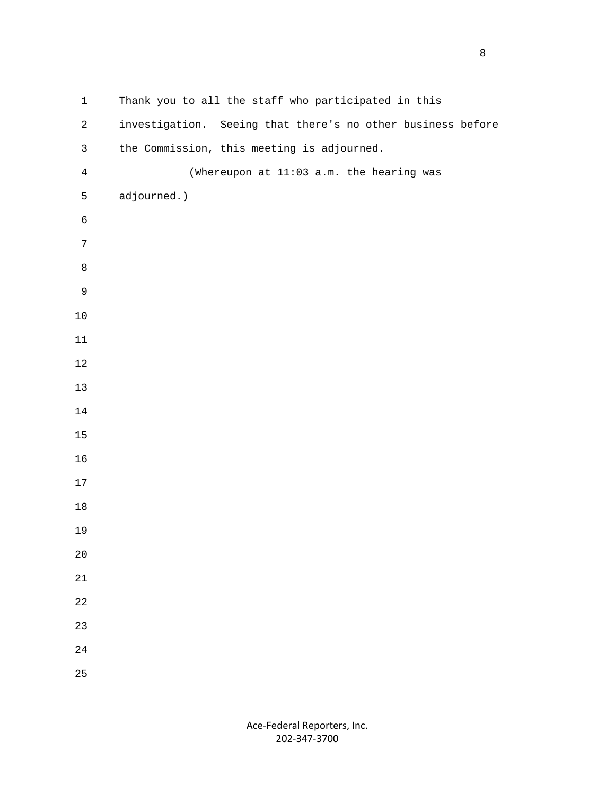1 Thank you to all the staff who participated in this 2 investigation. Seeing that there's no other business before 3 the Commission, this meeting is adjourned. 4 (Whereupon at 11:03 a.m. the hearing was 5 adjourned.)